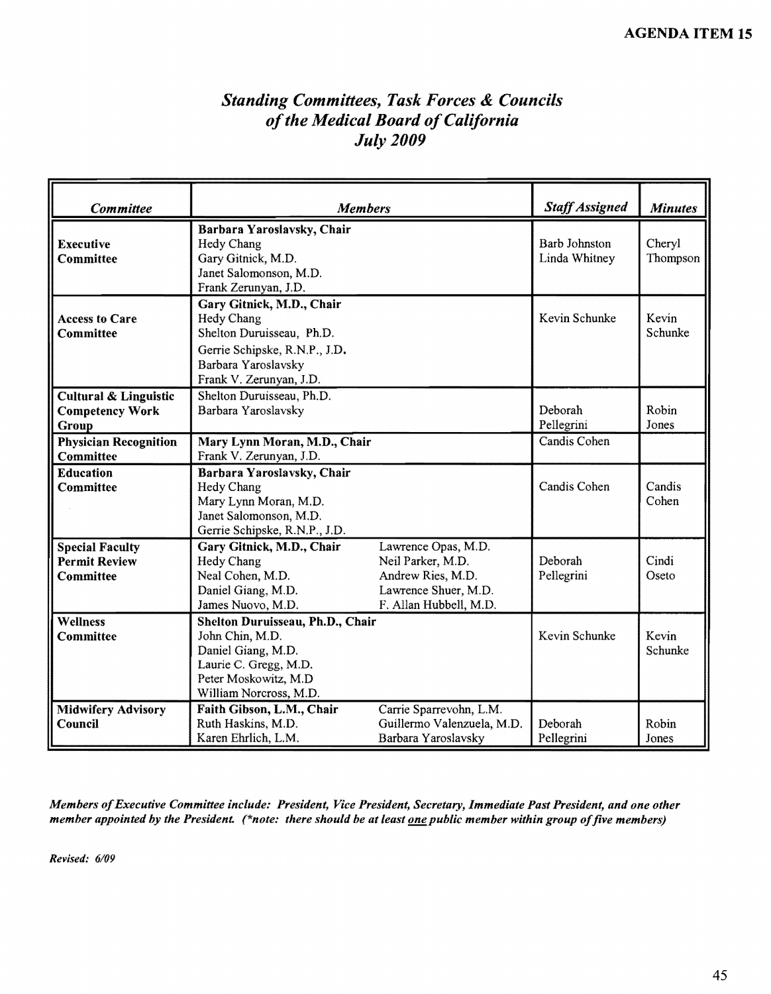## *Standing Committees, Task Forces* & *Councils ofthe Medical Board ofCalifornia July2009*

| Committee                                                           | <b>Members</b>                                                                                                                                          |                                                                                                                 | <b>Staff Assigned</b>                 | <b>Minutes</b>     |
|---------------------------------------------------------------------|---------------------------------------------------------------------------------------------------------------------------------------------------------|-----------------------------------------------------------------------------------------------------------------|---------------------------------------|--------------------|
| <b>Executive</b><br>Committee                                       | Barbara Yaroslavsky, Chair<br>Hedy Chang<br>Gary Gitnick, M.D.<br>Janet Salomonson, M.D.<br>Frank Zerunyan, J.D.                                        |                                                                                                                 | <b>Barb Johnston</b><br>Linda Whitney | Cheryl<br>Thompson |
| <b>Access to Care</b><br>Committee                                  | Gary Gitnick, M.D., Chair<br>Hedy Chang<br>Shelton Duruisseau, Ph.D.<br>Gerrie Schipske, R.N.P., J.D.<br>Barbara Yaroslavsky<br>Frank V. Zerunyan, J.D. |                                                                                                                 | Kevin Schunke                         | Kevin<br>Schunke   |
| <b>Cultural &amp; Linguistic</b><br><b>Competency Work</b><br>Group | Shelton Duruisseau, Ph.D.<br>Barbara Yaroslavsky                                                                                                        |                                                                                                                 | Deborah<br>Pellegrini                 | Robin<br>Jones     |
| <b>Physician Recognition</b><br><b>Committee</b>                    | Mary Lynn Moran, M.D., Chair<br>Frank V. Zerunyan, J.D.                                                                                                 |                                                                                                                 | Candis Cohen                          |                    |
| <b>Education</b><br><b>Committee</b>                                | Barbara Yaroslavsky, Chair<br>Hedy Chang<br>Mary Lynn Moran, M.D.<br>Janet Salomonson, M.D.<br>Gerrie Schipske, R.N.P., J.D.                            |                                                                                                                 | Candis Cohen                          | Candis<br>Cohen    |
| <b>Special Faculty</b><br><b>Permit Review</b><br><b>Committee</b>  | Gary Gitnick, M.D., Chair<br><b>Hedy Chang</b><br>Neal Cohen, M.D.<br>Daniel Giang, M.D.<br>James Nuovo, M.D.                                           | Lawrence Opas, M.D.<br>Neil Parker, M.D.<br>Andrew Ries, M.D.<br>Lawrence Shuer, M.D.<br>F. Allan Hubbell, M.D. | Deborah<br>Pellegrini                 | Cindi<br>Oseto     |
| <b>Wellness</b><br>Committee                                        | Shelton Duruisseau, Ph.D., Chair<br>John Chin, M.D.<br>Daniel Giang, M.D.<br>Laurie C. Gregg, M.D.<br>Peter Moskowitz, M.D<br>William Norcross, M.D.    |                                                                                                                 | Kevin Schunke                         | Kevin<br>Schunke   |
| <b>Midwifery Advisory</b><br>Council                                | Faith Gibson, L.M., Chair<br>Ruth Haskins, M.D.<br>Karen Ehrlich, L.M.                                                                                  | Carrie Sparrevohn, L.M.<br>Guillermo Valenzuela, M.D.<br>Barbara Yaroslavsky                                    | Deborah<br>Pellegrini                 | Robin<br>Jones     |

*Members ofExecutive Committee include: President, Vice President, Secretary, Immediate Past President, and one other member appointed by the President. (\*note: there should be at least <u>one</u> public member within group of five members)* 

*Revised: 6/09*